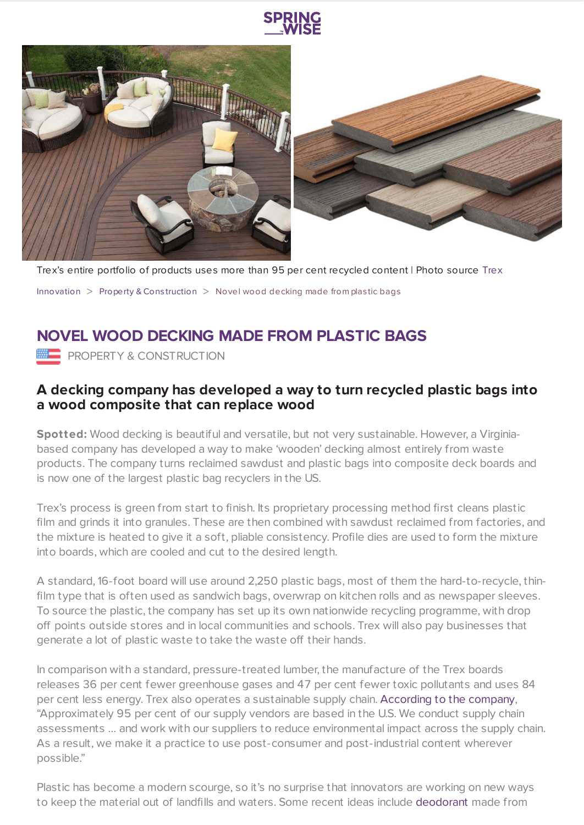





Trex's entire portfolio of products uses more than 95 per cent recycled content | Photo source [Trex](https://www.trex.com/deck-ideas/?_ga=2.37715107.2054942396.1616596017-715716956.1616596017&type=0&color=0&design=0&product=0&page=1&country=17153) [Innovation](https://www.springwise.com/search?type=innovation)  $>$  [Property](https://www.springwise.com/search?type=innovation§or=property-and-construction) & Construction  $>$  Novel wood decking made from plastic bags

## **NOVEL WOOD DECKING MADE FROM PLASTIC BAGS**

**PROPERTY & CONSTRUCTION** 

## **A decking company has developed a way to turn recycled plastic bags into a wood composite that can replace wood**

**Spotted:** Wood decking is beautiful and versatile, but not very sustainable. However, a Virginiabased company has developed a way to make 'wooden' decking almost entirely from waste products. The company turns reclaimed sawdust and plastic bags into composite deck boards and is now one of the largest plastic bag recyclers in the US.

Trex's process is green from start to finish. Its proprietary processing method first cleans plastic film and grinds it into granules. These are then combined with sawdust reclaimed from factories, and the mixture is heated to give it a soft, pliable consistency. Profile dies are used to form the mixture into boards, which are cooled and cut to the desired length.

A standard, 16-foot board will use around 2,250 plastic bags, most of them the hard-to-recycle, thinfilm type that is often used as sandwich bags, overwrap on kitchen rolls and as newspaper sleeves. To source the plastic, the company has set up its own nationwide recycling programme, with drop off points outside stores and in local communities and schools. Trex will also pay businesses that generate a lot of plastic waste to take the waste off their hands.

In comparison with a standard, pressure-treated lumber, the manufacture of the Trex boards releases 36 per cent fewer greenhouse gases and 47 per cent fewer toxic pollutants and uses 84 per cent less energy. Trex also operates a sustainable supply chain. [According](https://www.core77.com/posts/107168/Eco-Friendly-Low-Maintenance-Deck-Boards-Use-2250-Plastic-Bags-per-Board) to the company, "Approximately 95 per cent of our supply vendors are based in the U.S. We conduct supply chain assessments … and work with our suppliers to reduce environmental impact across the supply chain. As a result, we make it a practice to use post-consumer and post-industrial content wherever possible."

Plastic has become a modern scourge, so it's no surprise that innovators are working on new ways to keep the material out of landfills and waters. Some recent ideas include [deodorant](https://www.springwise.com/innovation/retail/piperwai-natural-deodorant-ocean-plastic) made from